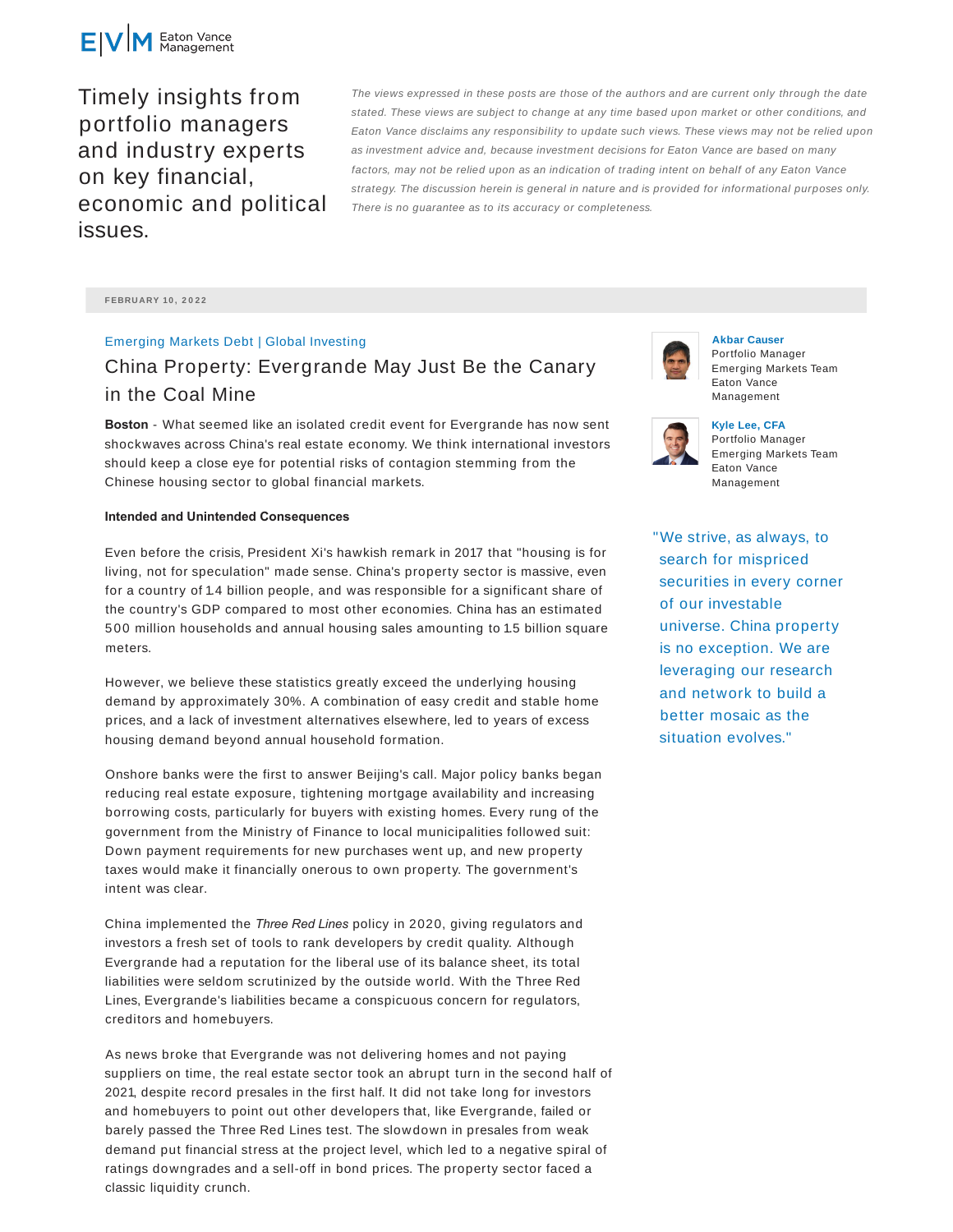

Timely insights from portfolio managers and industry experts on key financial, economic and political issues.

The views expressed in these posts are those of the authors and are current only through the date stated. These views are subject to change at any time based upon market or other conditions, and Eaton Vance disclaims any responsibility to update such views. These views may not be relied upon as investment advice and, because investment decisions for Eaton Vance are based on many factors, may not be relied upon as an indication of trading intent on behalf of any Eaton Vance strategy. The discussion herein is general in nature and is provided for informational purposes only. There is no guarantee as to its accuracy or completeness.

**FEBRUARY 10 , 2 0 2 2**

## Emerging Markets Debt | Global Investing

# China Property: Evergrande May Just Be the Canary in the Coal Mine

**Boston** - What seemed like an isolated credit event for Evergrande has now sent shockwaves across China's real estate economy. We think international investors should keep a close eye for potential risks of contagion stemming from the Chinese housing sector to global financial markets.

#### **Intended and Unintended Consequences**

Even before the crisis, President Xi's hawkish remark in 2017 that "housing is for living, not for speculation" made sense. China's property sector is massive, even for a country of 1.4 billion people, and was responsible for a significant share of the country's GDP compared to most other economies. China has an estimated 500 million households and annual housing sales amounting to 1.5 billion square meters.

However, we believe these statistics greatly exceed the underlying housing demand by approximately 30%. A combination of easy credit and stable home prices, and a lack of investment alternatives elsewhere, led to years of excess housing demand beyond annual household formation.

Onshore banks were the first to answer Beijing's call. Major policy banks began reducing real estate exposure, tightening mortgage availability and increasing borrowing costs, particularly for buyers with existing homes. Every rung of the government from the Ministry of Finance to local municipalities followed suit: Down payment requirements for new purchases went up, and new property taxes would make it financially onerous to own property. The government's intent was clear.

China implemented the *Three Red Lines* policy in 2020, giving regulators and investors a fresh set of tools to rank developers by credit quality. Although Evergrande had a reputation for the liberal use of its balance sheet, its total liabilities were seldom scrutinized by the outside world. With the Three Red Lines, Evergrande's liabilities became a conspicuous concern for regulators, creditors and homebuyers.

As news broke that Evergrande was not delivering homes and not paying suppliers on time, the real estate sector took an abrupt turn in the second half of 2021, despite record presales in the first half. It did not take long for investors and homebuyers to point out other developers that, like Evergrande, failed or barely passed the Three Red Lines test. The slowdown in presales from weak demand put financial stress at the project level, which led to a negative spiral of ratings downgrades and a sell-off in bond prices. The property sector faced a classic liquidity crunch.



**Akbar Causer** Portfolio Manager Emerging Markets Team Eaton Vance Management



**Kyle Lee, CFA** Portfolio Manager Emerging Markets Team Eaton Vance Management

"We strive, as always, to search for mispriced securities in every corner of our investable universe. China property is no exception. We are leveraging our research and network to build a better mosaic as the situation evolves."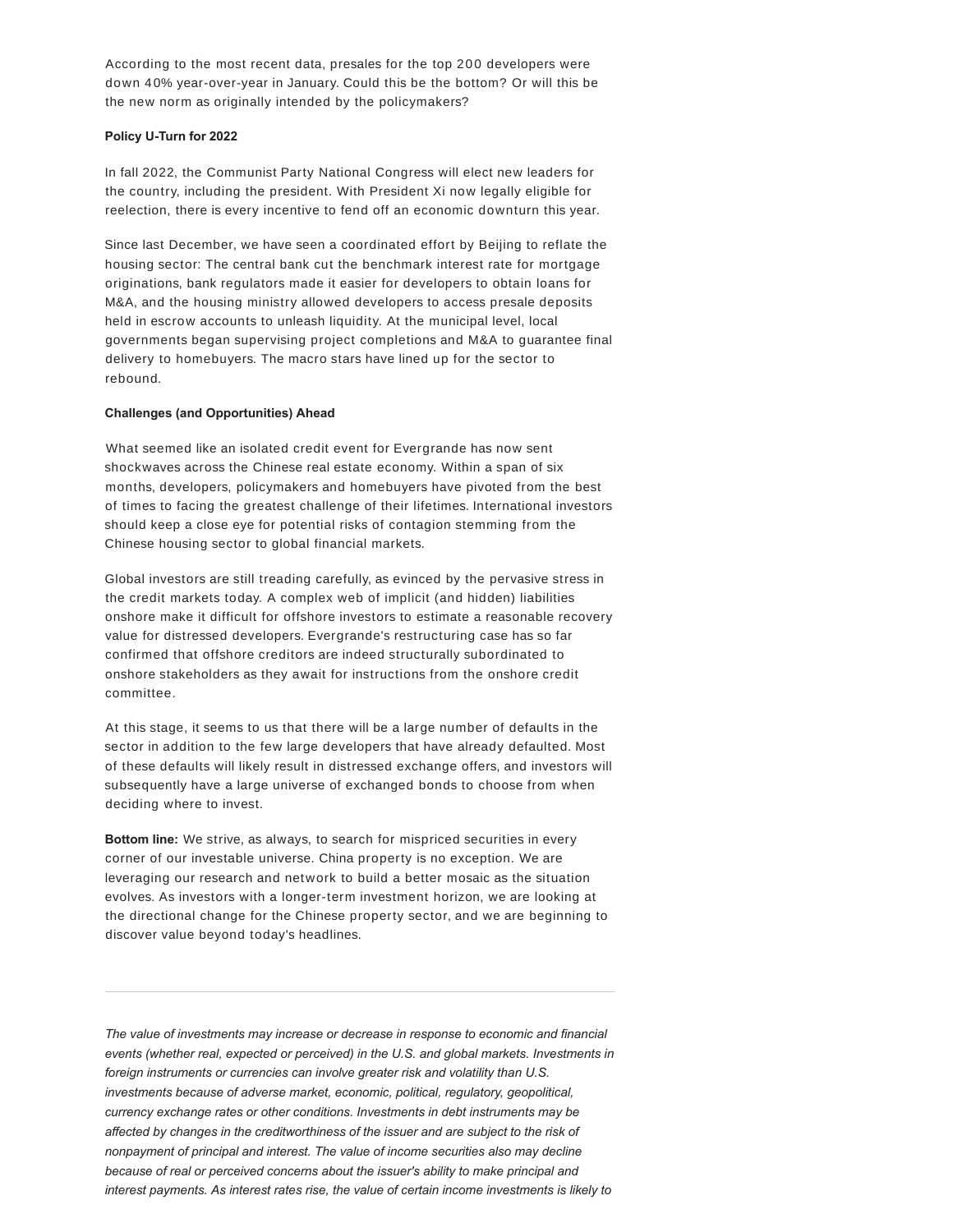According to the most recent data, presales for the top 200 developers were down 40% year-over-year in January. Could this be the bottom? Or will this be the new norm as originally intended by the policymakers?

#### **Policy U-Turn for 2022**

In fall 2022, the Communist Party National Congress will elect new leaders for the country, including the president. With President Xi now legally eligible for reelection, there is every incentive to fend off an economic downturn this year.

Since last December, we have seen a coordinated effort by Beijing to reflate the housing sector: The central bank cut the benchmark interest rate for mortgage originations, bank regulators made it easier for developers to obtain loans for M&A, and the housing ministry allowed developers to access presale deposits held in escrow accounts to unleash liquidity. At the municipal level, local governments began supervising project completions and M&A to guarantee final delivery to homebuyers. The macro stars have lined up for the sector to rebound.

### **Challenges (and Opportunities) Ahead**

What seemed like an isolated credit event for Evergrande has now sent shockwaves across the Chinese real estate economy. Within a span of six months, developers, policymakers and homebuyers have pivoted from the best of times to facing the greatest challenge of their lifetimes. International investors should keep a close eye for potential risks of contagion stemming from the Chinese housing sector to global financial markets.

Global investors are still treading carefully, as evinced by the pervasive stress in the credit markets today. A complex web of implicit (and hidden) liabilities onshore make it difficult for offshore investors to estimate a reasonable recovery value for distressed developers. Evergrande's restructuring case has so far confirmed that offshore creditors are indeed structurally subordinated to onshore stakeholders as they await for instructions from the onshore credit committee.

At this stage, it seems to us that there will be a large number of defaults in the sector in addition to the few large developers that have already defaulted. Most of these defaults will likely result in distressed exchange offers, and investors will subsequently have a large universe of exchanged bonds to choose from when deciding where to invest.

**Bottom line:** We strive, as always, to search for mispriced securities in every corner of our investable universe. China property is no exception. We are leveraging our research and network to build a better mosaic as the situation evolves. As investors with a longer-term investment horizon, we are looking at the directional change for the Chinese property sector, and we are beginning to discover value beyond today's headlines.

*The value of investments may increase or decrease in response to economic and financial events (whether real, expected or perceived) in the U.S. and global markets. Investments in foreign instruments or currencies can involve greater risk and volatility than U.S. investments because of adverse market, economic, political, regulatory, geopolitical, currency exchange rates or other conditions. Investments in debt instruments may be affected by changes in the creditworthiness of the issuer and are subject to the risk of nonpayment of principal and interest. The value of income securities also may decline because of real or perceived concerns about the issuer's ability to make principal and interest payments. As interest rates rise, the value of certain income investments is likely to*